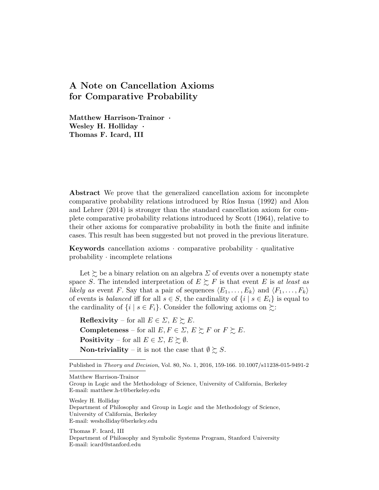## A Note on Cancellation Axioms for Comparative Probability

Matthew Harrison-Trainor *·* Wesley H. Holliday *·* Thomas F. Icard, III

Abstract We prove that the generalized cancellation axiom for incomplete comparative probability relations introduced by Ríos Insua (1992) and Alon and Lehrer (2014) is stronger than the standard cancellation axiom for complete comparative probability relations introduced by Scott (1964), relative to their other axioms for comparative probability in both the finite and infinite cases. This result has been suggested but not proved in the previous literature.

Keywords cancellation axioms *·* comparative probability *·* qualitative probability *·* incomplete relations

Let  $\succsim$  be a binary relation on an algebra  $\Sigma$  of events over a nonempty state space *S*. The intended interpretation of  $E \succeq F$  is that event *E* is *at least as likely as* event *F*. Say that a pair of sequences  $\langle E_1, \ldots, E_k \rangle$  and  $\langle F_1, \ldots, F_k \rangle$ of events is *balanced* iff for all  $s \in S$ , the cardinality of  $\{i \mid s \in E_i\}$  is equal to the cardinality of  $\{i \mid s \in F_i\}$ . Consider the following axioms on  $\succeq$ :

**Reflexivity** – for all  $E \in \Sigma$ ,  $E \succeq E$ . **Completeness** – for all  $E, F \in \Sigma, E \succsim F$  or  $F \succsim E$ . **Positivity** – for all  $E \in \Sigma$ ,  $E \succeq \emptyset$ . **Non-triviality** – it is not the case that  $\emptyset \succeq S$ .

Matthew Harrison-Trainor

Wesley H. Holliday Department of Philosophy and Group in Logic and the Methodology of Science, University of California, Berkeley E-mail: wesholliday@berkeley.edu

Thomas F. Icard, III Department of Philosophy and Symbolic Systems Program, Stanford University E-mail: icard@stanford.edu

Published in *Theory and Decision*, Vol. 80, No. 1, 2016, 159-166. 10.1007/s11238-015-9491-2

Group in Logic and the Methodology of Science, University of California, Berkeley E-mail: matthew.h-t@berkeley.edu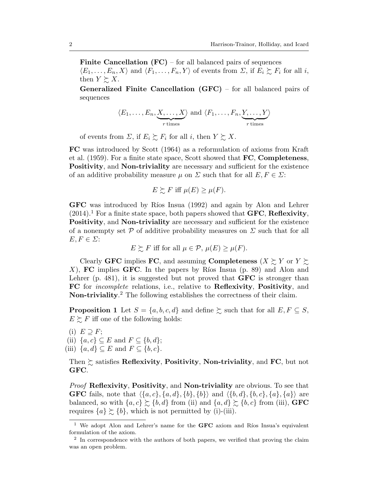**Finite Cancellation (FC)** – for all balanced pairs of sequences  $\langle E_1,\ldots,E_n,X\rangle$  and  $\langle F_1,\ldots,F_n,Y\rangle$  of events from  $\Sigma$ , if  $E_i \succsim F_i$  for all *i*, then  $Y \succeq X$ .

Generalized Finite Cancellation (GFC) – for all balanced pairs of sequences

$$
\langle E_1, \ldots, E_n, \underbrace{X, \ldots, X}_{r \text{ times}} \rangle
$$
 and  $\langle F_1, \ldots, F_n, \underbrace{Y, \ldots, Y}_{r \text{ times}} \rangle$ 

of events from  $\Sigma$ , if  $E_i \succsim F_i$  for all *i*, then  $Y \succsim X$ .

FC was introduced by Scott (1964) as a reformulation of axioms from Kraft et al.  $(1959)$ . For a finite state space, Scott showed that **FC**, **Completeness**, Positivity, and Non-triviality are necessary and sufficient for the existence of an additive probability measure  $\mu$  on  $\Sigma$  such that for all  $E, F \in \Sigma$ :

$$
E \succsim F \text{ iff } \mu(E) \ge \mu(F).
$$

GFC was introduced by Ríos Insua (1992) and again by Alon and Lehrer  $(2014).$ <sup>1</sup> For a finite state space, both papers showed that **GFC**, **Reflexivity**, Positivity, and Non-triviality are necessary and sufficient for the existence of a nonempty set  $P$  of additive probability measures on  $\Sigma$  such that for all  $E, F \in \Sigma$ :

$$
E \succsim F \text{ iff for all } \mu \in \mathcal{P}, \mu(E) \ge \mu(F).
$$

Clearly **GFC** implies FC, and assuming **Completeness** (*X*  $\succsim$  *Y* or *Y*  $\succsim$ *X*), FC implies GFC. In the papers by Ríos Insua (p. 89) and Alon and Lehrer (p. 481), it is suggested but not proved that  $GFC$  is stronger than FC for *incomplete* relations, i.e., relative to Reflexivity, Positivity, and Non-triviality.<sup>2</sup> The following establishes the correctness of their claim.

**Proposition 1** Let  $S = \{a, b, c, d\}$  and define  $\succsim$  such that for all  $E, F \subseteq S$ ,  $E \succeq F$  iff one of the following holds:

(i)  $E \supseteq F$ ; (ii)  $\{a, c\} \subset E$  and  $F \subset \{b, d\}$ ; (iii)  $\{a, d\} \subseteq E$  and  $F \subseteq \{b, c\}$ .

Then  $\succsim$  satisfies Reflexivity, Positivity, Non-triviality, and FC, but not GFC.

*Proof* Reflexivity, Positivity, and Non-triviality are obvious. To see that **GFC** fails, note that  $\{\{a, c\}, \{a, d\}, \{b\}, \{b\}\}\$  and  $\{\{b, d\}, \{b, c\}, \{a\}, \{a\}\}\$  are balanced, so with  $\{a, c\} \succeq \{b, d\}$  from (ii) and  $\{a, d\} \succeq \{b, c\}$  from (iii), GFC requires  $\{a\} \succeq \{b\}$ , which is not permitted by (i)-(iii).

<sup>&</sup>lt;sup>1</sup> We adopt Alon and Lehrer's name for the  $GFC$  axiom and Ríos Insua's equivalent formulation of the axiom.

 $2\text{ In correspondence with the authors of both papers, we verified that proving the claim.}$ was an open problem.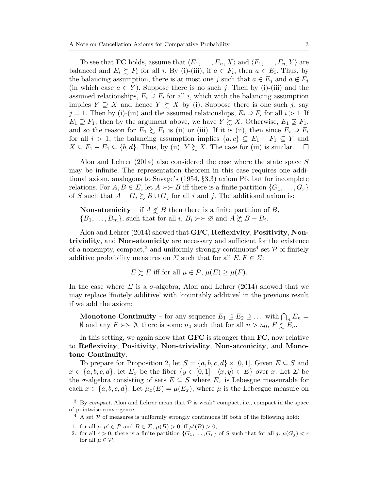To see that FC holds, assume that  $\langle E_1, \ldots, E_n, X \rangle$  and  $\langle F_1, \ldots, F_n, Y \rangle$  are balanced and  $E_i \succeq F_i$  for all *i*. By (i)-(iii), if  $a \in F_i$ , then  $a \in E_i$ . Thus, by the balancing assumption, there is at most one *j* such that  $a \in E_j$  and  $a \notin F_j$ (in which case  $a \in Y$ ). Suppose there is no such *j*. Then by (i)-(iii) and the assumed relationships,  $E_i \supseteq F_i$  for all *i*, which with the balancing assumption implies  $Y \supseteq X$  and hence  $Y \supsetneq X$  by (i). Suppose there is one such *j*, say  $j = 1$ . Then by (i)-(iii) and the assumed relationships,  $E_i \supseteq F_i$  for all  $i > 1$ . If  $E_1 \supseteq F_1$ , then by the argument above, we have  $Y \succsim X$ . Otherwise,  $E_1 \supseteq F_1$ , and so the reason for  $E_1 \succeq F_1$  is (ii) or (iii). If it is (ii), then since  $E_i \supseteq F_i$ for all  $i > 1$ , the balancing assumption implies  $\{a, c\} \subseteq E_1 - F_1 \subseteq Y$  and  $X \subseteq F_1 - E_1 \subseteq \{b, d\}$ . Thus, by (ii),  $Y \succeq X$ . The case for (iii) is similar.  $X \subseteq F_1 - E_1 \subseteq \{b, d\}$ . Thus, by (ii),  $Y \succsim X$ . The case for (iii) is similar.

Alon and Lehrer (2014) also considered the case where the state space *S* may be infinite. The representation theorem in this case requires one additional axiom, analogous to Savage's (1954, *§*3.3) axiom P6, but for incomplete relations. For  $A, B \in \Sigma$ , let  $A \rightarrow B$  iff there is a finite partition  $\{G_1, \ldots, G_r\}$ of *S* such that  $A - G_i \succeq B \cup G_j$  for all *i* and *j*. The additional axiom is:

**Non-atomicity** – if  $A \not\succeq B$  then there is a finite partition of *B*,  ${B_1, \ldots, B_m}$ , such that for all *i*,  $B_i \rightarrow \mathcal{P}$  and  $A \not\subset B - B_i$ .

Alon and Lehrer (2014) showed that GFC, Reflexivity, Positivity, Nontriviality, and Non-atomicity are necessary and sufficient for the existence of a nonempty, compact,<sup>3</sup> and uniformly strongly continuous<sup>4</sup> set  $P$  of finitely additive probability measures on  $\Sigma$  such that for all  $E, F \in \Sigma$ :

$$
E \succsim F \text{ iff for all } \mu \in \mathcal{P}, \, \mu(E) \ge \mu(F).
$$

In the case where  $\Sigma$  is a  $\sigma$ -algebra, Alon and Lehrer (2014) showed that we may replace 'finitely additive' with 'countably additive' in the previous result if we add the axiom:

**Monotone Continuity** – for any sequence  $E_1 \supseteq E_2 \supseteq \ldots$  with  $\bigcap_n E_n =$  $\emptyset$  and any  $F \rightarrow \emptyset$ , there is some  $n_0$  such that for all  $n > n_0$ ,  $F \succeq F_n$ .

In this setting, we again show that **GFC** is stronger than **FC**, now relative to Reflexivity, Positivity, Non-triviality, Non-atomicity, and Monotone Continuity.

To prepare for Proposition 2, let  $S = \{a, b, c, d\} \times [0, 1]$ . Given  $E \subseteq S$  and  $x \in \{a, b, c, d\}$ , let  $E_x$  be the fiber  $\{y \in [0, 1] \mid \langle x, y \rangle \in E\}$  over *x*. Let  $\Sigma$  be the  $\sigma$ -algebra consisting of sets  $E \subseteq S$  where  $E_x$  is Lebesgue measurable for each  $x \in \{a, b, c, d\}$ . Let  $\mu_x(E) = \mu(E_x)$ , where  $\mu$  is the Lebesgue measure on

<sup>&</sup>lt;sup>3</sup> By *compact*, Alon and Lehrer mean that  $P$  is weak<sup>\*</sup> compact, i.e., compact in the space of pointwise convergence.

 $4$  A set  $P$  of measures is uniformly strongly continuous iff both of the following hold:

<sup>1.</sup> for all  $\mu, \mu' \in \mathcal{P}$  and  $B \in \Sigma$ ,  $\mu(B) > 0$  iff  $\mu'(B) > 0$ ;

<sup>2.</sup> for all  $\epsilon > 0$ , there is a finite partition  $\{G_1, \ldots, G_r\}$  of *S* such that for all *j*,  $\mu(G_i) < \epsilon$ for all  $\mu \in \mathcal{P}$ .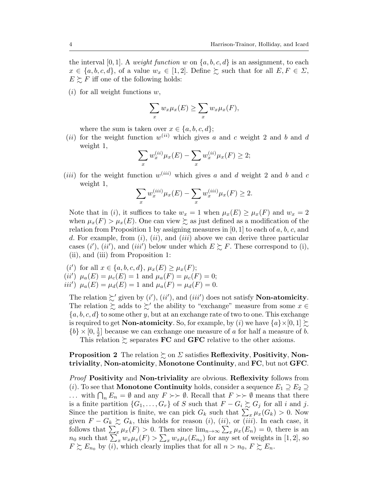the interval [0, 1]. A *weight function*  $w$  on  $\{a, b, c, d\}$  is an assignment, to each  $x \in \{a, b, c, d\}$ , of a value  $w_x \in [1, 2]$ . Define  $\succsim$  such that for all  $E, F \in \Sigma$ ,  $E \succeq F$  iff one of the following holds:

(*i*) for all weight functions *w*,

$$
\sum_{x} w_x \mu_x(E) \ge \sum_{x} w_x \mu_x(F),
$$

where the sum is taken over  $x \in \{a, b, c, d\}$ ;

(*ii*) for the weight function  $w^{(ii)}$  which gives *a* and *c* weight 2 and *b* and *d* weight 1,

$$
\sum_{x} w_x^{(ii)} \mu_x(E) - \sum_{x} w_x^{(ii)} \mu_x(F) \ge 2;
$$

(*iii*) for the weight function  $w^{(iii)}$  which gives *a* and *d* weight 2 and *b* and *c* weight 1,

$$
\sum_{x} w_x^{(iii)} \mu_x(E) - \sum_{x} w_x^{(iii)} \mu_x(F) \ge 2.
$$

Note that in (*i*), it suffices to take  $w_x = 1$  when  $\mu_x(E) \ge \mu_x(F)$  and  $w_x = 2$ when  $\mu_x(F) > \mu_x(E)$ . One can view  $\geq$  as just defined as a modification of the relation from Proposition 1 by assigning measures in [0*,* 1] to each of *a*, *b*, *c*, and *d*. For example, from (*i*), (*ii*), and (*iii*) above we can derive three particular cases  $(i')$ ,  $(ii')$ , and  $(iii')$  below under which  $E \succsim F$ . These correspond to (i), (ii), and (iii) from Proposition 1:

 $(i')$  for all  $x \in \{a, b, c, d\}, \mu_x(E) \geq \mu_x(F);$  $(iii')$   $\mu_a(E) = \mu_c(E) = 1$  and  $\mu_a(F) = \mu_c(F) = 0;$ *iii'*)  $\mu_a(E) = \mu_d(E) = 1$  and  $\mu_a(F) = \mu_d(F) = 0$ .

The relation  $\gtrsim'$  given by  $(i'), (ii'),$  and  $(iii')$  does not satisfy **Non-atomicity**. The relation  $\gtrsim$  adds to  $\gtrsim'$  the ability to "exchange" measure from some  $x \in$ *{a, b, c, d}* to some other *y*, but at an exchange rate of two to one. This exchange is required to get **Non-atomicity**. So, for example, by (*i*) we have  $\{a\} \times [0, 1] \succeq$  ${b} \times [0, \frac{1}{2}]$  because we can exchange one measure of *a* for half a measure of *b*.

This relation  $\succsim$  separates **FC** and **GFC** relative to the other axioms.

## **Proposition 2** The relation  $\succsim$  on  $\Sigma$  satisfies Reflexivity, Positivity, Nontriviality, Non-atomicity, Monotone Continuity, and FC, but not GFC.

*Proof* Positivity and Non-triviality are obvious. Reflexivity follows from (*i*). To see that **Monotone Continuity** holds, consider a sequence  $E_1 \supseteq E_2 \supseteq$  $\ldots$  with  $\bigcap_n E_n = \emptyset$  and any  $F \rightarrowtail \emptyset$ . Recall that  $F \rightarrowtail \emptyset$  means that there is a finite partition  $\{G_1, \ldots, G_r\}$  of *S* such that  $F - G_i \succsim G_j$  for all *i* and *j*. Since the partition is finite, we can pick  $G_k$  such that  $\sum_x \mu_x(G_k) > 0$ . Now given  $F - G_k \succeq G_k$ , this holds for reason (*i*), (*ii*), or (*iii*). In each case, it follows that  $\sum_{x} \mu_x(F) > 0$ . Then since  $\lim_{n \to \infty} \sum_{x} \mu_x(E_n) = 0$ , there is an  $n_0$  such that  $\sum_x w_x \mu_x(F) > \sum_x w_x \mu_x(E_{n_0})$  for any set of weights in [1, 2], so  $F \succeq E_{n_0}$  by (*i*), which clearly implies that for all  $n > n_0$ ,  $F \succeq E_n$ .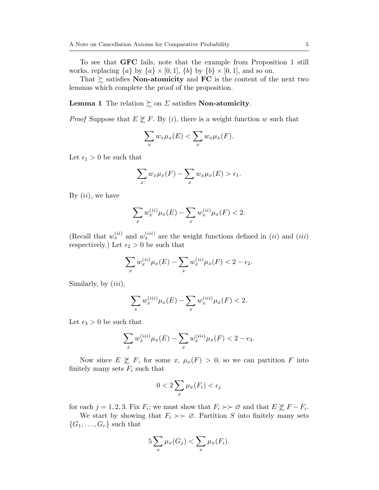To see that GFC fails, note that the example from Proposition 1 still works, replacing  $\{a\}$  by  $\{a\} \times [0,1]$ ,  $\{b\}$  by  $\{b\} \times [0,1]$ , and so on.

That  $\succsim$  satisfies **Non-atomicity** and **FC** is the content of the next two lemmas which complete the proof of the proposition.

**Lemma 1** The relation  $\succsim$  on  $\Sigma$  satisfies **Non-atomicity**.

*Proof* Suppose that  $E \not\subset F$ . By (*i*), there is a weight function *w* such that

$$
\sum_{x} w_x \mu_x(E) < \sum_{x} w_x \mu_x(F).
$$

Let  $\epsilon_1 > 0$  be such that

$$
\sum_{x} w_x \mu_x(F) - \sum_{x} w_x \mu_x(E) > \epsilon_1.
$$

By (*ii*), we have

$$
\sum_{x} w_x^{(ii)} \mu_x(E) - \sum_{x} w_x^{(ii)} \mu_x(F) < 2.
$$

(Recall that  $w_x^{(ii)}$  and  $w_x^{(iii)}$  are the weight functions defined in (*ii*) and (*iii*) respectively.) Let  $\epsilon_2 > 0$  be such that

$$
\sum_{x} w_x^{(ii)} \mu_x(E) - \sum_{x} w_x^{(ii)} \mu_x(F) < 2 - \epsilon_2.
$$

Similarly, by (*iii*),

$$
\sum_{x} w_x^{(iii)} \mu_x(E) - \sum_{x} w_x^{(iii)} \mu_x(F) < 2.
$$

Let  $\epsilon_3 > 0$  be such that

$$
\sum_{x} w_x^{(iii)} \mu_x(E) - \sum_{x} w_x^{(iii)} \mu_x(F) < 2 - \epsilon_3.
$$

Now since  $E \not\geq F$ , for some  $x, \mu_x(F) > 0$ , so we can partition *F* into finitely many sets  $F_i$  such that

$$
0 < 2\sum_{x} \mu_x(F_i) < \epsilon_j
$$

for each  $j = 1, 2, 3$ . Fix  $F_i$ ; we must show that  $F_i \rightarrow \infty$  and that  $E \not\geq F - F_i$ .

We start by showing that  $F_i \geq \emptyset$ . Partition *S* into finitely many sets  ${G_1, \ldots, G_r}$  such that

$$
5\sum_{x}\mu_x(G_j)<\sum_{x}\mu_x(F_i).
$$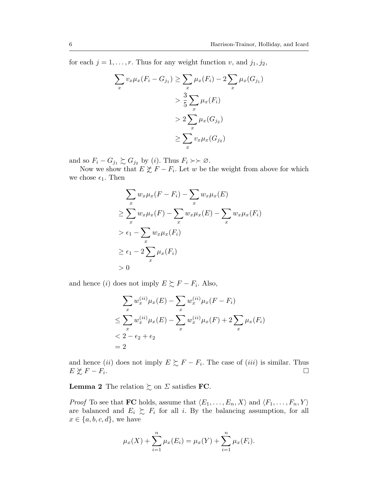for each  $j = 1, \ldots, r$ . Thus for any weight function *v*, and  $j_1, j_2$ ,

$$
\sum_{x} v_x \mu_x (F_i - G_{j_1}) \ge \sum_{x} \mu_x (F_i) - 2 \sum_{x} \mu_x (G_{j_1})
$$
  
> 
$$
\frac{3}{5} \sum_{x} \mu_x (F_i)
$$
  
> 
$$
2 \sum_{x} \mu_x (G_{j_2})
$$
  

$$
\ge \sum_{x} v_x \mu_x (G_{j_2})
$$

and so  $F_i - G_{j_1} \succsim G_{j_2}$  by (*i*). Thus  $F_i \succ \succ \emptyset$ .

Now we show that  $E \not\geq F - F_i$ . Let *w* be the weight from above for which we chose  $\epsilon_1$ . Then

$$
\sum_{x} w_x \mu_x (F - F_i) - \sum_{x} w_x \mu_x (E)
$$
\n
$$
\geq \sum_{x} w_x \mu_x (F) - \sum_{x} w_x \mu_x (E) - \sum_{x} w_x \mu_x (F_i)
$$
\n
$$
> \epsilon_1 - \sum_{x} w_x \mu_x (F_i)
$$
\n
$$
\geq \epsilon_1 - 2 \sum_{x} \mu_x (F_i)
$$
\n
$$
> 0
$$

and hence *(i)* does not imply  $E \succeq F - F_i$ . Also,

$$
\sum_{x} w_x^{(ii)} \mu_x(E) - \sum_{x} w_x^{(ii)} \mu_x(F - F_i)
$$
  
\n
$$
\leq \sum_{x} w_x^{(ii)} \mu_x(E) - \sum_{x} w_x^{(ii)} \mu_x(F) + 2 \sum_{x} \mu_x(F_i)
$$
  
\n
$$
< 2 - \epsilon_2 + \epsilon_2
$$
  
\n
$$
= 2
$$

and hence *(ii)* does not imply  $E \succeq F - F_i$ . The case of *(iii)* is similar. Thus  $E \not\subset F - F_i$ .  $E \not\gtrsim F - F_i$ .

**Lemma 2** The relation  $\succsim$  on  $\Sigma$  satisfies **FC**.

*Proof* To see that **FC** holds, assume that  $\langle E_1, \ldots, E_n, X \rangle$  and  $\langle F_1, \ldots, F_n, Y \rangle$ are balanced and  $E_i \succeq F_i$  for all *i*. By the balancing assumption, for all  $x \in \{a, b, c, d\}$ , we have

$$
\mu_x(X) + \sum_{i=1}^n \mu_x(E_i) = \mu_x(Y) + \sum_{i=1}^n \mu_x(F_i).
$$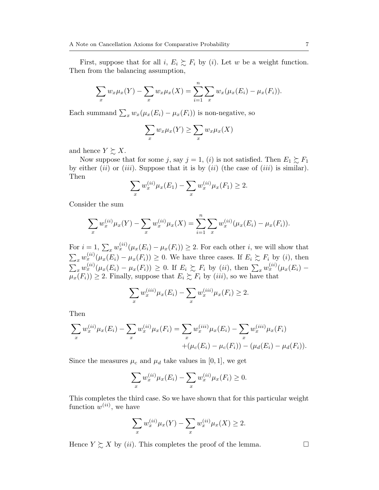First, suppose that for all  $i, E_i \succsim F_i$  by (*i*). Let *w* be a weight function. Then from the balancing assumption,

$$
\sum_{x} w_x \mu_x(Y) - \sum_{x} w_x \mu_x(X) = \sum_{i=1}^{n} \sum_{x} w_x (\mu_x(E_i) - \mu_x(F_i)).
$$

Each summand  $\sum_{x} w_x(\mu_x(E_i) - \mu_x(F_i))$  is non-negative, so

$$
\sum_{x} w_x \mu_x(Y) \ge \sum_{x} w_x \mu_x(X)
$$

and hence  $Y \succeq X$ .

Now suppose that for some *j*, say  $j = 1$ , *(i)* is not satisfied. Then  $E_1 \succeq F_1$ by either (*ii*) or (*iii*). Suppose that it is by (*ii*) (the case of (*iii*) is similar). Then

$$
\sum_{x} w_x^{(ii)} \mu_x(E_1) - \sum_{x} w_x^{(ii)} \mu_x(F_1) \ge 2.
$$

Consider the sum

$$
\sum_{x} w_x^{(ii)} \mu_x(Y) - \sum_{x} w_x^{(ii)} \mu_x(X) = \sum_{i=1}^n \sum_{x} w_x^{(ii)} (\mu_x(E_i) - \mu_x(F_i)).
$$

For  $i = 1, \sum_x w_x^{(ii)} (\mu_x(E_i) - \mu_x(F_i)) \geq 2$ . For each other *i*, we will show that  $\sum_{x} w_x^{(ii)} (\mu_x(E_i) - \mu_x(F_i)) \geq 0$ . We have three cases. If  $E_i \gtrsim F_i$  by (*i*), then  $\sum_{x} w_x^{(ii)}(\mu_x(E_i) - \mu_x(F_i)) \geq 0$ . If  $E_i \succsim F_i$  by (ii), then  $\sum_x w_x^{(ii)}(\mu_x(E_i) \mu_x(F_i)$ )  $\geq$  2. Finally, suppose that  $E_i \succsim F_i$  by *(iii)*, so we have that

$$
\sum_{x} w_x^{(iii)} \mu_x(E_i) - \sum_{x} w_x^{(iii)} \mu_x(F_i) \ge 2.
$$

Then

$$
\sum_{x} w_x^{(ii)} \mu_x(E_i) - \sum_{x} w_x^{(ii)} \mu_x(F_i) = \sum_{x} w_x^{(iii)} \mu_x(E_i) - \sum_{x} w_x^{(iii)} \mu_x(F_i) + (\mu_c(E_i) - \mu_c(F_i)) - (\mu_d(E_i) - \mu_d(F_i)).
$$

Since the measures  $\mu_c$  and  $\mu_d$  take values in [0, 1], we get

$$
\sum_{x} w_x^{(ii)} \mu_x(E_i) - \sum_{x} w_x^{(ii)} \mu_x(F_i) \ge 0.
$$

This completes the third case. So we have shown that for this particular weight function  $w^{(ii)}$ , we have

$$
\sum_{x} w_x^{(ii)} \mu_x(Y) - \sum_{x} w_x^{(ii)} \mu_x(X) \ge 2.
$$

Hence  $Y \succeq X$  by (*ii*). This completes the proof of the lemma.  $\Box$